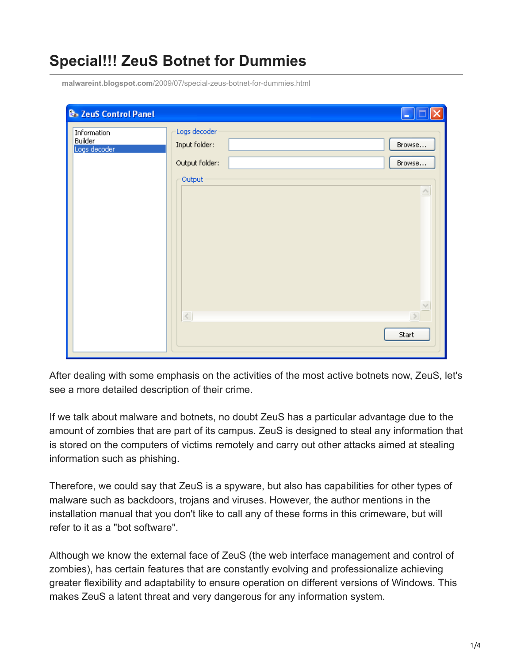## **Special!!! ZeuS Botnet for Dummies**

| <b>B</b> . ZeuS Control Panel          |                                                 |                    |
|----------------------------------------|-------------------------------------------------|--------------------|
| Information<br>Builder<br>Logs decoder | Logs decoder<br>Input folder:<br>Output folder: | Browse<br>Browse   |
|                                        | Output                                          | $\curvearrowright$ |
|                                        | $\leq$                                          | $\leq$<br>$\, >$   |
|                                        |                                                 | Start              |

**malwareint.blogspot.com**[/2009/07/special-zeus-botnet-for-dummies.html](http://malwareint.blogspot.com/2009/07/special-zeus-botnet-for-dummies.html)

After dealing with some emphasis on the activities of the most active botnets now, ZeuS, let's see a more detailed description of their crime.

If we talk about malware and botnets, no doubt ZeuS has a particular advantage due to the amount of zombies that are part of its campus. ZeuS is designed to steal any information that is stored on the computers of victims remotely and carry out other attacks aimed at stealing information such as phishing.

Therefore, we could say that ZeuS is a spyware, but also has capabilities for other types of malware such as backdoors, trojans and viruses. However, the author mentions in the installation manual that you don't like to call any of these forms in this crimeware, but will refer to it as a "bot software".

Although we know the external face of ZeuS (the web interface management and control of zombies), has certain features that are constantly evolving and professionalize achieving greater flexibility and adaptability to ensure operation on different versions of Windows. This makes ZeuS a latent threat and very dangerous for any information system.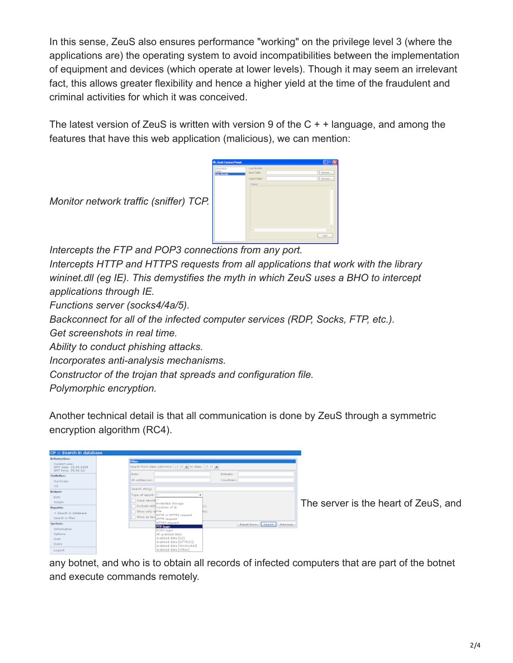In this sense, ZeuS also ensures performance "working" on the privilege level 3 (where the applications are) the operating system to avoid incompatibilities between the implementation of equipment and devices (which operate at lower levels). Though it may seem an irrelevant fact, this allows greater flexibility and hence a higher yield at the time of the fraudulent and criminal activities for which it was conceived.

The latest version of ZeuS is written with version 9 of the  $C + +$  language, and among the features that have this web application (malicious), we can mention:



*Monitor network traffic (sniffer) TCP.* 

*Intercepts the FTP and POP3 connections from any port.* 

*Intercepts HTTP and HTTPS requests from all applications that work with the library wininet.dll (eg IE). This demystifies the myth in which ZeuS uses a BHO to intercept applications through IE.* 

*Functions server (socks4/4a/5).* 

*Backconnect for all of the infected computer services (RDP, Socks, FTP, etc.).* 

*Get screenshots in real time.* 

*Ability to conduct phishing attacks.* 

*Incorporates anti-analysis mechanisms.* 

*Constructor of the trojan that spreads and configuration file.* 

*Polymorphic encryption.*

Another technical detail is that all communication is done by ZeuS through a symmetric encryption algorithm (RC4).

| CP :: Search in database                                    |                                |                                                      |         |            |                       |  |
|-------------------------------------------------------------|--------------------------------|------------------------------------------------------|---------|------------|-----------------------|--|
| Informations                                                |                                |                                                      |         |            |                       |  |
| Current upon<br>GHT clate: 15.05.2009<br>GHT time: E5:46:10 | Filter                         | Search from date (dd.mm): 15.05 as to date: 15.05 as |         |            |                       |  |
| Statistics:                                                 | Barker.                        |                                                      |         | Bahrahas.  |                       |  |
| Summary.                                                    | 1P-addresses:                  |                                                      |         | Countries: |                       |  |
| 05                                                          | Search strings                 |                                                      |         |            |                       |  |
| Burbards                                                    |                                |                                                      |         |            |                       |  |
| Exter                                                       | Type of report:                | ٠                                                    |         |            |                       |  |
| Solots                                                      | Case sensiti --                | Profected Storage                                    |         |            |                       |  |
| Reports:                                                    |                                | Exclude refr Cookies of Ili                          | W).     |            |                       |  |
| - Search in database.                                       | Show only re <sup>public</sup> | HTTP or HTTPS request                                | $\{x\}$ |            |                       |  |
| Search in files                                             | <b>Divine as two</b>           | HTTP request                                         |         |            |                       |  |
| Systems:                                                    |                                | HTTPS request                                        |         |            | Resultsm Jeach Remove |  |
| Information.                                                |                                | <b>FTP legin</b><br>POP3 login                       |         |            |                       |  |
| Options                                                     |                                | All grabbed date                                     |         |            |                       |  |
| U car                                                       |                                | Grabbed date [UI]                                    |         |            |                       |  |
| Upera                                                       |                                | Grabbed data [HTTP(S)]<br>Grabbed data [Winlocket]   |         |            |                       |  |
| Logout                                                      |                                | Giabbed data [Other]                                 |         |            |                       |  |

[T](http://2.bp.blogspot.com/_Ppq0fEGkHo4/SlfQP3hZ44I/AAAAAAAABmI/4Px9SvSU38w/s1600-h/mipistus-zeus2.png)he server is the heart of ZeuS, and

any botnet, and who is to obtain all records of infected computers that are part of the botnet and execute commands remotely.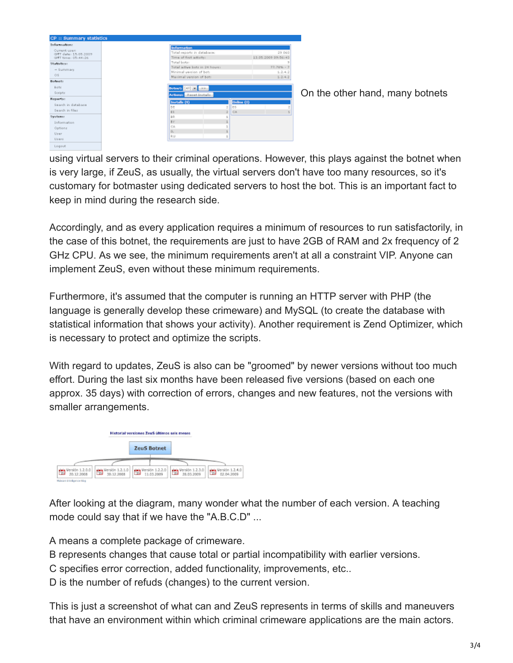| <b>CP :: Summary statistics</b>            |                                |                           |                     |
|--------------------------------------------|--------------------------------|---------------------------|---------------------|
| Information:                               | <b>Information</b>             |                           |                     |
| Current upen                               | Total reports in database:     |                           | 29.060              |
| GNT date: 15.03.2009<br>GNT time: 05:44:26 | Time of first adjoint:         |                           | 13.05.2009 09:56:43 |
| Statistics:                                | Total bets:                    |                           |                     |
| $\rightarrow$ Summary                      | Total active bots in 24 hours: |                           | $77.78\% - 7$       |
|                                            | Minimal version of bot:        |                           | 1, 2, 4, 2          |
| O <sub>2</sub>                             | Maximal varsion of bots        |                           | 1, 2, 4, 2          |
| <b>Balmetin</b>                            |                                |                           |                     |
| Botc                                       | $[40 - 22]$<br><b>Botnet:</b>  |                           |                     |
| Scriptz                                    | Actioner Reset-Instals         |                           |                     |
| Reporter.                                  |                                |                           |                     |
| Search in database                         | Installs (9)                   | Online (3)<br>ES          |                     |
| Search in files                            | DE<br>EE.                      | $\overline{z}$<br>CA<br>ż |                     |
| Systems                                    | B.R.                           |                           |                     |
| <b>Information</b>                         | <b>BY</b>                      |                           |                     |
| Options                                    | CA                             |                           |                     |
|                                            | EL.                            |                           |                     |
| User                                       | RU                             |                           |                     |
| Users                                      |                                |                           |                     |
| Logeut                                     |                                |                           |                     |

[O](http://2.bp.blogspot.com/_Ppq0fEGkHo4/SlfPtNccYwI/AAAAAAAABmA/j8aR0AfTmRE/s1600-h/mipistus-zeus1.png)n the other hand, many botnets

using virtual servers to their criminal operations. However, this plays against the botnet when is very large, if ZeuS, as usually, the virtual servers don't have too many resources, so it's customary for botmaster using dedicated servers to host the bot. This is an important fact to keep in mind during the research side.

Accordingly, and as every application requires a minimum of resources to run satisfactorily, in the case of this botnet, the requirements are just to have 2GB of RAM and 2x frequency of 2 GHz CPU. As we see, the minimum requirements aren't at all a constraint VIP. Anyone can implement ZeuS, even without these minimum requirements.

Furthermore, it's assumed that the computer is running an HTTP server with PHP (the language is generally develop these crimeware) and MySQL (to create the database with statistical information that shows your activity). Another requirement is Zend Optimizer, which is necessary to protect and optimize the scripts.

With regard to updates, ZeuS is also can be "groomed" by newer versions without too much effort. During the last six months have been released five versions (based on each one approx. 35 days) with correction of errors, changes and new features, not the versions with smaller arrangements.



After looking at the diagram, many wonder what the number of each version. A teaching mode could say that if we have the "A.B.C.D" ...

A means a complete package of crimeware.

B represents changes that cause total or partial incompatibility with earlier versions.

C specifies error correction, added functionality, improvements, etc..

D is the number of refuds (changes) to the current version.

This is just a screenshot of what can and ZeuS represents in terms of skills and maneuvers that have an environment within which criminal crimeware applications are the main actors.